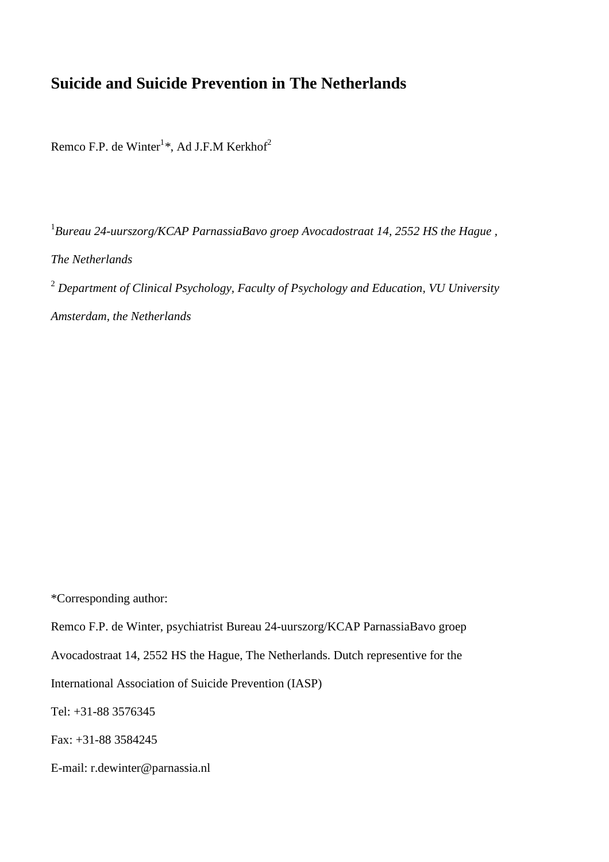# **Suicide and Suicide Prevention in The Netherlands**

Remco F.P. de Winter<sup>1</sup>\*, Ad J.F.M Kerkhof<sup>2</sup>

<sup>1</sup> Bureau 24-uurszorg/KCAP ParnassiaBavo groep Avocadostraat 14, 2552 HS the Hague, *The Netherlands*  <sup>2</sup> *Department of Clinical Psychology, Faculty of Psychology and Education, VU University Amsterdam, the Netherlands* 

\*Corresponding author:

Remco F.P. de Winter, psychiatrist Bureau 24-uurszorg/KCAP ParnassiaBavo groep

Avocadostraat 14, 2552 HS the Hague, The Netherlands. Dutch representive for the

International Association of Suicide Prevention (IASP)

Tel: +31-88 3576345

Fax: +31-88 3584245

E-mail: r.dewinter@parnassia.nl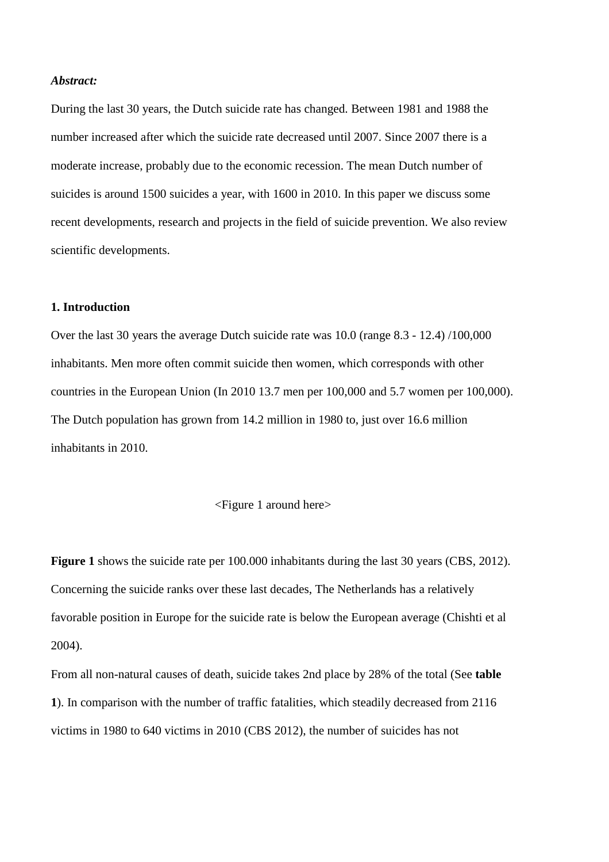# *Abstract:*

During the last 30 years, the Dutch suicide rate has changed. Between 1981 and 1988 the number increased after which the suicide rate decreased until 2007. Since 2007 there is a moderate increase, probably due to the economic recession. The mean Dutch number of suicides is around 1500 suicides a year, with 1600 in 2010. In this paper we discuss some recent developments, research and projects in the field of suicide prevention. We also review scientific developments.

# **1. Introduction**

Over the last 30 years the average Dutch suicide rate was 10.0 (range 8.3 - 12.4) /100,000 inhabitants. Men more often commit suicide then women, which corresponds with other countries in the European Union (In 2010 13.7 men per 100,000 and 5.7 women per 100,000). The Dutch population has grown from 14.2 million in 1980 to, just over 16.6 million inhabitants in 2010.

# <Figure 1 around here>

**Figure 1** shows the suicide rate per 100.000 inhabitants during the last 30 years (CBS, 2012). Concerning the suicide ranks over these last decades, The Netherlands has a relatively favorable position in Europe for the suicide rate is below the European average (Chishti et al 2004).

From all non-natural causes of death, suicide takes 2nd place by 28% of the total (See **table 1**). In comparison with the number of traffic fatalities, which steadily decreased from 2116 victims in 1980 to 640 victims in 2010 (CBS 2012), the number of suicides has not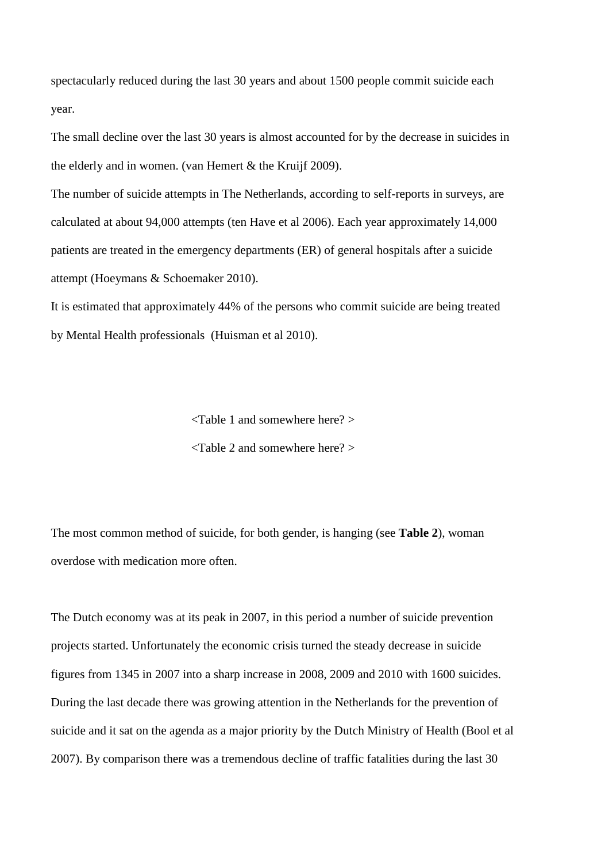spectacularly reduced during the last 30 years and about 1500 people commit suicide each year.

The small decline over the last 30 years is almost accounted for by the decrease in suicides in the elderly and in women. (van Hemert & the Kruijf 2009).

The number of suicide attempts in The Netherlands, according to self-reports in surveys, are calculated at about 94,000 attempts (ten Have et al 2006). Each year approximately 14,000 patients are treated in the emergency departments (ER) of general hospitals after a suicide attempt (Hoeymans & Schoemaker 2010).

It is estimated that approximately 44% of the persons who commit suicide are being treated by Mental Health professionals (Huisman et al 2010).

<Table 1 and somewhere here? >

<Table 2 and somewhere here? >

The most common method of suicide, for both gender, is hanging (see **Table 2**), woman overdose with medication more often.

The Dutch economy was at its peak in 2007, in this period a number of suicide prevention projects started. Unfortunately the economic crisis turned the steady decrease in suicide figures from 1345 in 2007 into a sharp increase in 2008, 2009 and 2010 with 1600 suicides. During the last decade there was growing attention in the Netherlands for the prevention of suicide and it sat on the agenda as a major priority by the Dutch Ministry of Health (Bool et al 2007). By comparison there was a tremendous decline of traffic fatalities during the last 30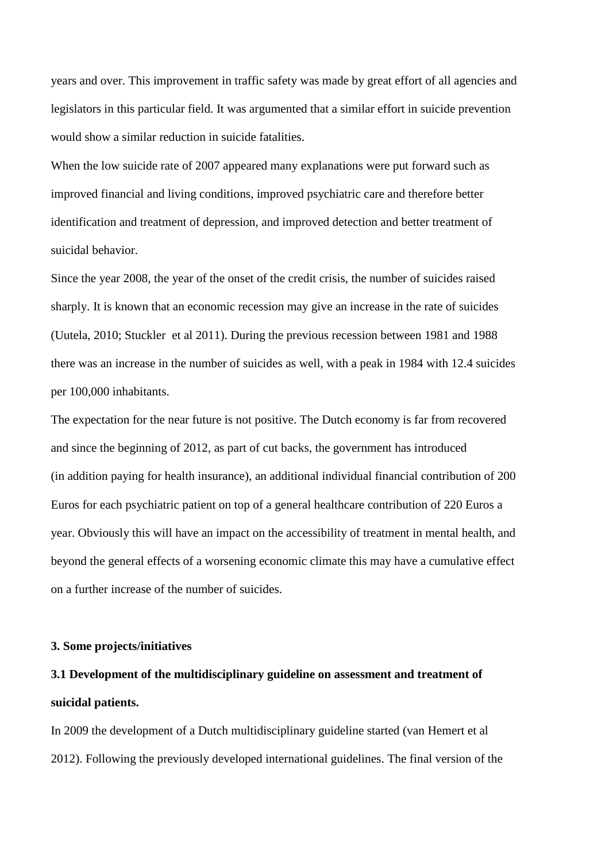years and over. This improvement in traffic safety was made by great effort of all agencies and legislators in this particular field. It was argumented that a similar effort in suicide prevention would show a similar reduction in suicide fatalities.

When the low suicide rate of 2007 appeared many explanations were put forward such as improved financial and living conditions, improved psychiatric care and therefore better identification and treatment of depression, and improved detection and better treatment of suicidal behavior.

Since the year 2008, the year of the onset of the credit crisis, the number of suicides raised sharply. It is known that an economic recession may give an increase in the rate of suicides (Uutela, 2010; Stuckler et al 2011). During the previous recession between 1981 and 1988 there was an increase in the number of suicides as well, with a peak in 1984 with 12.4 suicides per 100,000 inhabitants.

The expectation for the near future is not positive. The Dutch economy is far from recovered and since the beginning of 2012, as part of cut backs, the government has introduced (in addition paying for health insurance), an additional individual financial contribution of 200 Euros for each psychiatric patient on top of a general healthcare contribution of 220 Euros a year. Obviously this will have an impact on the accessibility of treatment in mental health, and beyond the general effects of a worsening economic climate this may have a cumulative effect on a further increase of the number of suicides.

# **3. Some projects/initiatives**

# **3.1 Development of the multidisciplinary guideline on assessment and treatment of suicidal patients.**

In 2009 the development of a Dutch multidisciplinary guideline started (van Hemert et al 2012). Following the previously developed international guidelines. The final version of the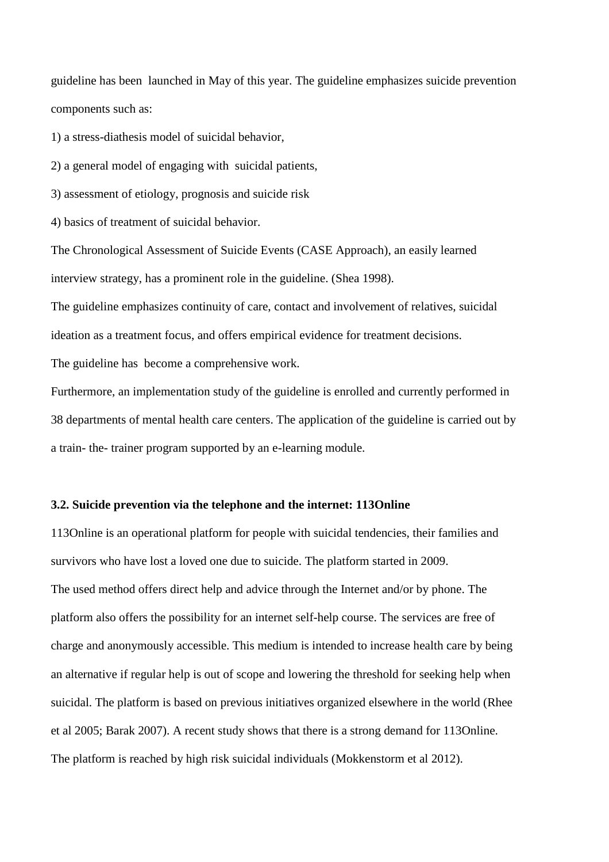guideline has been launched in May of this year. The guideline emphasizes suicide prevention components such as:

1) a stress-diathesis model of suicidal behavior,

2) a general model of engaging with suicidal patients,

3) assessment of etiology, prognosis and suicide risk

4) basics of treatment of suicidal behavior.

The Chronological Assessment of Suicide Events (CASE Approach), an easily learned interview strategy, has a prominent role in the guideline. (Shea 1998).

The guideline emphasizes continuity of care, contact and involvement of relatives, suicidal ideation as a treatment focus, and offers empirical evidence for treatment decisions.

The guideline has become a comprehensive work.

Furthermore, an implementation study of the guideline is enrolled and currently performed in 38 departments of mental health care centers. The application of the guideline is carried out by a train- the- trainer program supported by an e-learning module.

# **3.2. Suicide prevention via the telephone and the internet: 113Online**

113Online is an operational platform for people with suicidal tendencies, their families and survivors who have lost a loved one due to suicide. The platform started in 2009. The used method offers direct help and advice through the Internet and/or by phone. The platform also offers the possibility for an internet self-help course. The services are free of charge and anonymously accessible. This medium is intended to increase health care by being an alternative if regular help is out of scope and lowering the threshold for seeking help when suicidal. The platform is based on previous initiatives organized elsewhere in the world (Rhee et al 2005; Barak 2007). A recent study shows that there is a strong demand for 113Online. The platform is reached by high risk suicidal individuals (Mokkenstorm et al 2012).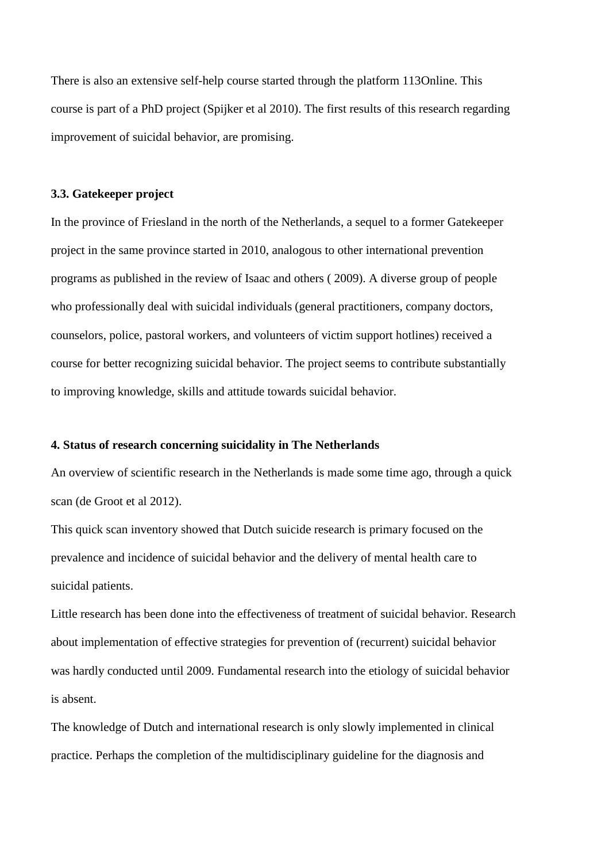There is also an extensive self-help course started through the platform 113Online. This course is part of a PhD project (Spijker et al 2010). The first results of this research regarding improvement of suicidal behavior, are promising.

## **3.3. Gatekeeper project**

In the province of Friesland in the north of the Netherlands, a sequel to a former Gatekeeper project in the same province started in 2010, analogous to other international prevention programs as published in the review of Isaac and others ( 2009). A diverse group of people who professionally deal with suicidal individuals (general practitioners, company doctors, counselors, police, pastoral workers, and volunteers of victim support hotlines) received a course for better recognizing suicidal behavior. The project seems to contribute substantially to improving knowledge, skills and attitude towards suicidal behavior.

# **4. Status of research concerning suicidality in The Netherlands**

An overview of scientific research in the Netherlands is made some time ago, through a quick scan (de Groot et al 2012).

This quick scan inventory showed that Dutch suicide research is primary focused on the prevalence and incidence of suicidal behavior and the delivery of mental health care to suicidal patients.

Little research has been done into the effectiveness of treatment of suicidal behavior. Research about implementation of effective strategies for prevention of (recurrent) suicidal behavior was hardly conducted until 2009. Fundamental research into the etiology of suicidal behavior is absent.

The knowledge of Dutch and international research is only slowly implemented in clinical practice. Perhaps the completion of the multidisciplinary guideline for the diagnosis and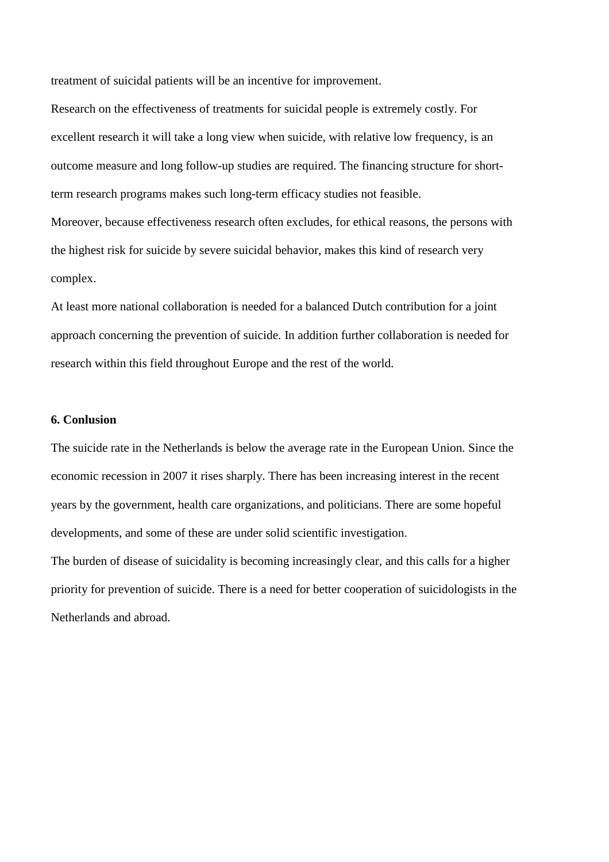treatment of suicidal patients will be an incentive for improvement.

Research on the effectiveness of treatments for suicidal people is extremely costly. For excellent research it will take a long view when suicide, with relative low frequency, is an outcome measure and long follow-up studies are required. The financing structure for shortterm research programs makes such long-term efficacy studies not feasible. Moreover, because effectiveness research often excludes, for ethical reasons, the persons with the highest risk for suicide by severe suicidal behavior, makes this kind of research very complex.

At least more national collaboration is needed for a balanced Dutch contribution for a joint approach concerning the prevention of suicide. In addition further collaboration is needed for research within this field throughout Europe and the rest of the world.

# **6. Conlusion**

The suicide rate in the Netherlands is below the average rate in the European Union. Since the economic recession in 2007 it rises sharply. There has been increasing interest in the recent years by the government, health care organizations, and politicians. There are some hopeful developments, and some of these are under solid scientific investigation.

The burden of disease of suicidality is becoming increasingly clear, and this calls for a higher priority for prevention of suicide. There is a need for better cooperation of suicidologists in the Netherlands and abroad.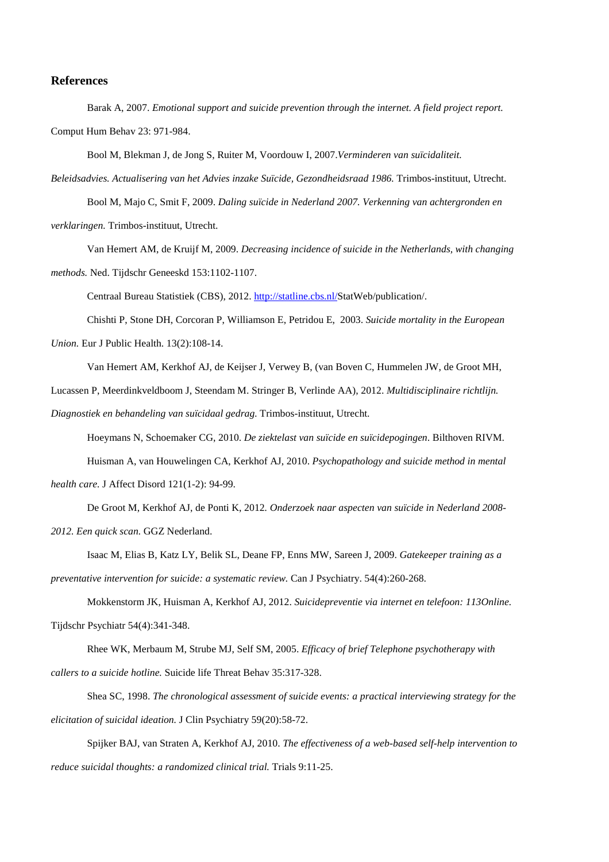# **References**

Barak A, 2007. *Emotional support and suicide prevention through the internet. A field project report.* Comput Hum Behav 23: 971-984.

Bool M, Blekman J, de Jong S, Ruiter M, Voordouw I, 2007.*Verminderen van suïcidaliteit.* 

*Beleidsadvies. Actualisering van het Advies inzake Suïcide, Gezondheidsraad 1986.* Trimbos-instituut, Utrecht.

Bool M, Majo C, Smit F, 2009. *Daling suïcide in Nederland 2007. Verkenning van achtergronden en verklaringen.* Trimbos-instituut, Utrecht.

Van Hemert AM, de Kruijf M, 2009. *Decreasing incidence of suicide in the Netherlands, with changing methods.* Ned. Tijdschr Geneeskd 153:1102-1107.

Centraal Bureau Statistiek (CBS), 2012. http://statline.cbs.nl/StatWeb/publication/.

Chishti P, Stone DH, Corcoran P, Williamson E, Petridou E, 2003. *Suicide mortality in the European Union.* Eur J Public Health. 13(2):108-14.

Van Hemert AM, Kerkhof AJ, de Keijser J, Verwey B, (van Boven C, Hummelen JW, de Groot MH,

Lucassen P, Meerdinkveldboom J, Steendam M. Stringer B, Verlinde AA), 2012. *Multidisciplinaire richtlijn.* 

*Diagnostiek en behandeling van suïcidaal gedrag.* Trimbos-instituut, Utrecht.

Hoeymans N, Schoemaker CG, 2010. *De ziektelast van suïcide en suïcidepogingen*. Bilthoven RIVM.

Huisman A, van Houwelingen CA, Kerkhof AJ, 2010. *Psychopathology and suicide method in mental health care.* J Affect Disord 121(1-2): 94-99.

De Groot M, Kerkhof AJ, de Ponti K, 2012*. Onderzoek naar aspecten van suïcide in Nederland 2008- 2012. Een quick scan.* GGZ Nederland.

Isaac M, Elias B, Katz LY, Belik SL, Deane FP, Enns MW, Sareen J, 2009. *Gatekeeper training as a preventative intervention for suicide: a systematic review.* Can J Psychiatry. 54(4):260-268.

Mokkenstorm JK, Huisman A, Kerkhof AJ, 2012. *Suicidepreventie via internet en telefoon: 113Online.*  Tijdschr Psychiatr 54(4):341-348.

Rhee WK, Merbaum M, Strube MJ, Self SM, 2005. *Efficacy of brief Telephone psychotherapy with callers to a suicide hotline.* Suicide life Threat Behav 35:317-328.

Shea SC, 1998. *The chronological assessment of suicide events: a practical interviewing strategy for the elicitation of suicidal ideation.* J Clin Psychiatry 59(20):58-72.

Spijker BAJ, van Straten A, Kerkhof AJ, 2010. *The effectiveness of a web-based self-help intervention to reduce suicidal thoughts: a randomized clinical trial.* Trials 9:11-25.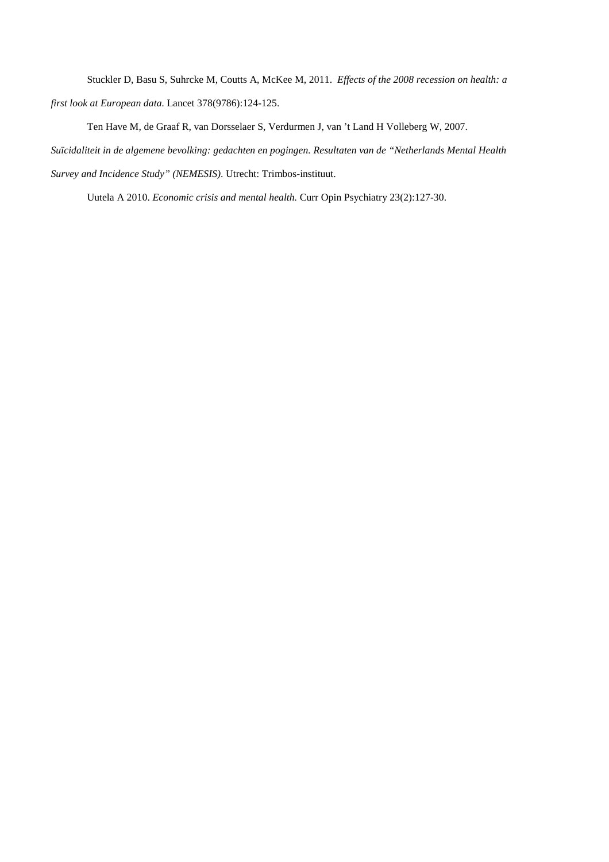Stuckler D, Basu S, Suhrcke M, Coutts A, McKee M, 2011. *Effects of the 2008 recession on health: a* 

*first look at European data.* Lancet 378(9786):124-125.

Ten Have M, de Graaf R, van Dorsselaer S, Verdurmen J, van 't Land H Volleberg W, 2007.

*Suïcidaliteit in de algemene bevolking: gedachten en pogingen. Resultaten van de "Netherlands Mental Health* 

*Survey and Incidence Study" (NEMESIS)*. Utrecht: Trimbos-instituut.

Uutela A 2010. *Economic crisis and mental health.* Curr Opin Psychiatry 23(2):127-30.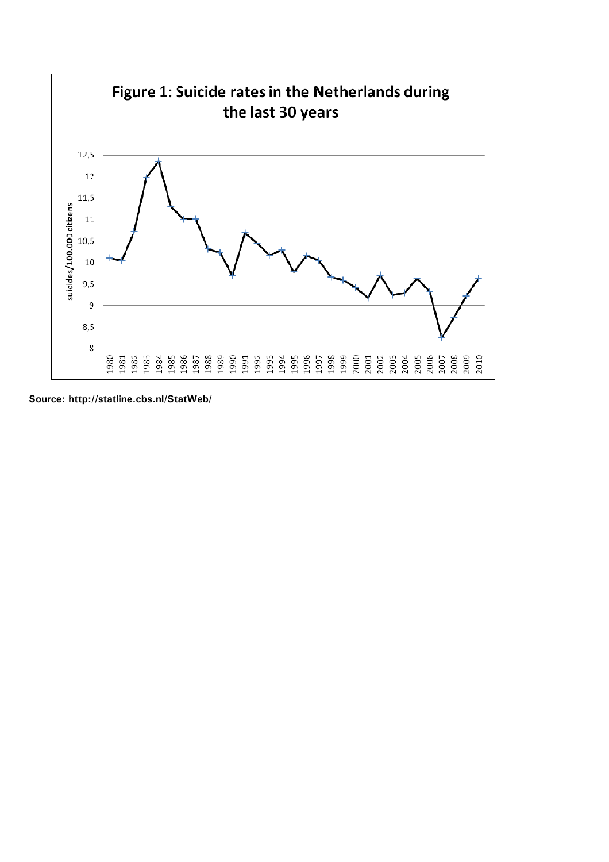

**Source: http://statline.cbs.nl/StatWeb/**